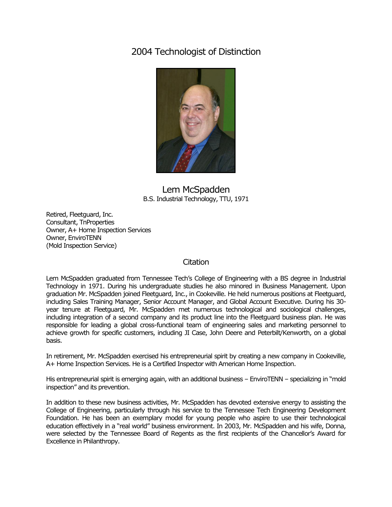## 2004 Technologist of Distinction



## Lem McSpadden B.S. Industrial Technology, TTU, 1971

Retired, Fleetguard, Inc. Consultant, TnProperties Owner, A+ Home Inspection Services Owner, EnviroTENN (Mold Inspection Service)

## **Citation**

Lem McSpadden graduated from Tennessee Tech's College of Engineering with a BS degree in Industrial Technology in 1971. During his undergraduate studies he also minored in Business Management. Upon graduation Mr. McSpadden joined Fleetguard, Inc., in Cookeville. He held numerous positions at Fleetguard, including Sales Training Manager, Senior Account Manager, and Global Account Executive. During his 30 year tenure at Fleetguard, Mr. McSpadden met numerous technological and sociological challenges, including integration of a second company and its product line into the Fleetguard business plan. He was responsible for leading a global cross-functional team of engineering sales and marketing personnel to achieve growth for specific customers, including JI Case, John Deere and Peterbilt/Kenworth, on a global basis.

In retirement, Mr. McSpadden exercised his entrepreneurial spirit by creating a new company in Cookeville, A+ Home Inspection Services. He is a Certified Inspector with American Home Inspection.

His entrepreneurial spirit is emerging again, with an additional business – EnviroTENN – specializing in "mold inspection" and its prevention.

In addition to these new business activities, Mr. McSpadden has devoted extensive energy to assisting the College of Engineering, particularly through his service to the Tennessee Tech Engineering Development Foundation. He has been an exemplary model for young people who aspire to use their technological education effectively in a "real world" business environment. In 2003, Mr. McSpadden and his wife, Donna, were selected by the Tennessee Board of Regents as the first recipients of the Chancellor's Award for Excellence in Philanthropy.